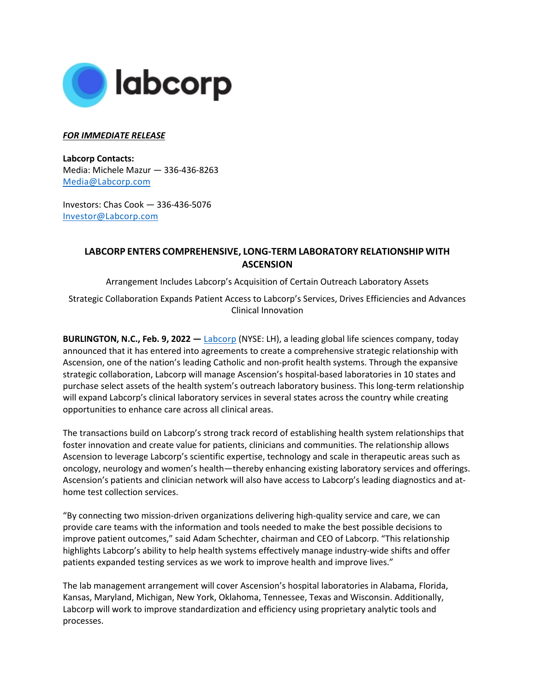

### *FOR IMMEDIATE RELEASE*

**Labcorp Contacts:**  Media: Michele Mazur — 336-436-8263 [Media@Labcorp.com](mailto:Media@Labcorp.com)

Investors: Chas Cook — 336-436-5076 [Investor@Labcorp.com](mailto:Investor@Labcorp.com)

# **LABCORP ENTERS COMPREHENSIVE, LONG-TERM LABORATORY RELATIONSHIP WITH ASCENSION**

Arrangement Includes Labcorp's Acquisition of Certain Outreach Laboratory Assets

Strategic Collaboration Expands Patient Access to Labcorp's Services, Drives Efficiencies and Advances Clinical Innovation

**BURLINGTON, N.C., Feb. 9, 2022 —** [Labcorp](https://www.labcorp.com/) (NYSE: LH), a leading global life sciences company, today announced that it has entered into agreements to create a comprehensive strategic relationship with Ascension, one of the nation's leading Catholic and non-profit health systems. Through the expansive strategic collaboration, Labcorp will manage Ascension's hospital-based laboratories in 10 states and purchase select assets of the health system's outreach laboratory business. This long-term relationship will expand Labcorp's clinical laboratory services in several states across the country while creating opportunities to enhance care across all clinical areas.

The transactions build on Labcorp's strong track record of establishing health system relationships that foster innovation and create value for patients, clinicians and communities. The relationship allows Ascension to leverage Labcorp's scientific expertise, technology and scale in therapeutic areas such as oncology, neurology and women's health—thereby enhancing existing laboratory services and offerings. Ascension's patients and clinician network will also have access to Labcorp's leading diagnostics and athome test collection services.

"By connecting two mission-driven organizations delivering high-quality service and care, we can provide care teams with the information and tools needed to make the best possible decisions to improve patient outcomes," said Adam Schechter, chairman and CEO of Labcorp. "This relationship highlights Labcorp's ability to help health systems effectively manage industry-wide shifts and offer patients expanded testing services as we work to improve health and improve lives."

The lab management arrangement will cover Ascension's hospital laboratories in Alabama, Florida, Kansas, Maryland, Michigan, New York, Oklahoma, Tennessee, Texas and Wisconsin. Additionally, Labcorp will work to improve standardization and efficiency using proprietary analytic tools and processes.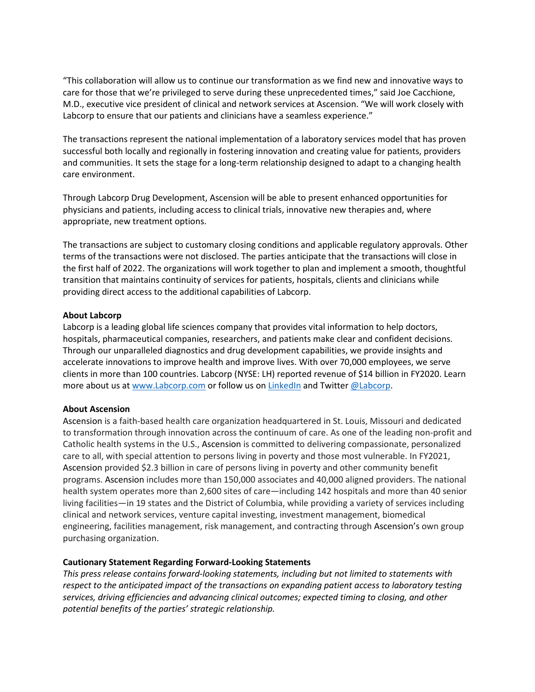"This collaboration will allow us to continue our transformation as we find new and innovative ways to care for those that we're privileged to serve during these unprecedented times," said Joe Cacchione, M.D., executive vice president of clinical and network services at Ascension. "We will work closely with Labcorp to ensure that our patients and clinicians have a seamless experience."

The transactions represent the national implementation of a laboratory services model that has proven successful both locally and regionally in fostering innovation and creating value for patients, providers and communities. It sets the stage for a long-term relationship designed to adapt to a changing health care environment.

Through Labcorp Drug Development, Ascension will be able to present enhanced opportunities for physicians and patients, including access to clinical trials, innovative new therapies and, where appropriate, new treatment options.

The transactions are subject to customary closing conditions and applicable regulatory approvals. Other terms of the transactions were not disclosed. The parties anticipate that the transactions will close in the first half of 2022. The organizations will work together to plan and implement a smooth, thoughtful transition that maintains continuity of services for patients, hospitals, clients and clinicians while providing direct access to the additional capabilities of Labcorp.

#### **About Labcorp**

Labcorp is a leading global life sciences company that provides vital information to help doctors, hospitals, pharmaceutical companies, researchers, and patients make clear and confident decisions. Through our unparalleled diagnostics and drug development capabilities, we provide insights and accelerate innovations to improve health and improve lives. With over 70,000 employees, we serve clients in more than 100 countries. Labcorp (NYSE: LH) reported revenue of \$14 billion in FY2020. Learn more about us at [www.Labcorp.com](http://www.labcorp.com/) or follow us on [LinkedIn](https://www.linkedin.com/company/labcorp/) and Twitte[r @Labcorp.](https://twitter.com/LabCorp)

#### **About Ascension**

Ascension is a faith-based health care organization headquartered in St. Louis, Missouri and dedicated to transformation through innovation across the continuum of care. As one of the leading non-profit and Catholic health systems in the U.S., Ascension is committed to delivering compassionate, personalized care to all, with special attention to persons living in poverty and those most vulnerable. In FY2021, Ascension provided \$2.3 billion in care of persons living in poverty and other community benefit programs. Ascension includes more than 150,000 associates and 40,000 aligned providers. The national health system operates more than 2,600 sites of care—including 142 hospitals and more than 40 senior living facilities—in 19 states and the District of Columbia, while providing a variety of services including clinical and network services, venture capital investing, investment management, biomedical engineering, facilities management, risk management, and contracting through Ascension's own group purchasing organization.

## **Cautionary Statement Regarding Forward-Looking Statements**

*This press release contains forward-looking statements, including but not limited to statements with respect to the anticipated impact of the transactions on expanding patient access to laboratory testing services, driving efficiencies and advancing clinical outcomes; expected timing to closing, and other potential benefits of the parties' strategic relationship.*